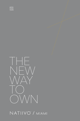



### NATIIVO" / MIAMI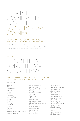

#### THE FIRST PURPOSEFULLY DESIGNED, BUILT, AND LICENSED BUILDING FOR HOMESHARING.

Natiivo Miami is a one-of-a-kind ownership experience offering the luxuries, services, and amenities of a hotel — with the added flexibility to list on any homeshare platform as desired.



#### NATIIVO OFFERS FLEXIBILITY TO LIVE AND HOST WITH EASE, USING ANY HOMESHARING PLATFORM.

#### INCLUDING:

/ Airbnb / VRBO.com / TripAdvisor / Expedia / Orbitz / Hotels.com / Travelocity / Booking.com / Kayak / Priceline / FlipKey / Tripping / Trivago / Venere / Hotwire / Owner Direct Vacation Rentals / Beachhouse.com

/ Resort Reservations / AllTheRooms / Vacation Rental Supermarket / Vaystays / PerfectPlaces.com / VRGuest / Vacayhero / Abritel.fr / HomeAway.at / HomeAway.com.au / AlugueTemporada.com.br / HomeAway.ca / HomeAway.ca.fr / FeWo-direkt.de / HomeAway.dk / HomeAway.es / HomeAway.fi

/ HomeAway.it / HomeAway.com.mx / HomeAway.nl / HomeAway.no / HomeAway.pt / HomeAway.se / HomeAway.co.uk / HomeAway.com / Homelidays.com / Homelidays.it / VacationRentals.com / Rental Source / RentByOwner / Travelprorentals / Agoda / CoastRentals.com / forGetaway.com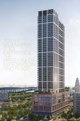### S LIVE  $N\overline{\mathsf{E}}$ IS TO EXPERIENCE THE FREEDOM OF EXPLORATION AND PLACE.

m

nn<br>Tin

ш ш m

躘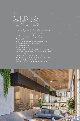## BUILDING FEATURES

- acclaimed architecture firm, Arquitectonica
- 
- / Short-term rentals permitted as-of-right
- 
- 
- 
- 24-hour valet parking
- 
- 
- 
- / Cutting-edge green building technology
- / Six high-speed passenger elevators with access control
- 
- 

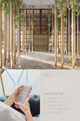



# 03/ **A TURNKEY SOLUTION /**

- MASTERHOST
- & HOUSEKEEPING
- **※ VIP AMENITIES**
- FOOD & BEVERAGE
- NATIIVO APP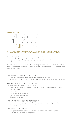#### **WHAT IS NATIIVO?**



#### **NATIIVO COMBINES THE WARMTH OF A HOME WITH AN IMMERSIVE, LOCAL HOSPITALITY EXPERIENCE TO OFFER PEOPLE A UNIQUE WAY TO LIVE AND STAY.**

By combining the local atmosphere of a homestay with the service, security, and consistency of a hotel, Natiivo fills a gap in the hospitality landscape by delivering a unique, forwardthinking option for people with a modern, flexible lifestyle.

Resident owners also have the advantage of being able to maximize on their real estate by renting units on a short term basis, when they aren't using their home, on any homesharing platform they prefer.

#### NATIIVO EMBODIES THE LOCATION

- Each Natiivo embodies the quintessential character of its location
- / We celebrate each city's makers and doers by including them into the Natiivo experience

#### NATIIVO DESIGNS FOR DOMESTICITY

Intimate spaces for living, not just staying – with:

- / Full kitchen with oven, dishwasher, refrigerator, range, microwave, flatware, dishes, pots and pans, ect.
- Owner's closet
- Washer & dryer in every unit
- Plenty of room to spread out
- / Expansive balconies

#### NATIIVO FOSTERS SOCIAL CONNECTION

- / More than a place to stay— a launching pad for local insight, events, and culture
- Creating spaces to work, play and socialize

#### NATIIVO'S EVERYDAY LUXURIES

- / Thoughtful amenities—premium bed linens, comfortable robes and slippers
- Customizable, well-stocked refrigerator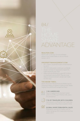

# SHARE ADVANTAGE 04/

#### REALTOR.COM:

Miami is #4 on the top 10 most profitable places in the United States to own an Airbnb rental in 2019.

#### IPROPERTYMANAGEMENT.COM:

- / \$57.7 billion: projected vacation rental revenue for 2019
- / 297.2 M: total vacation rental users worldwide
- / Vacation rentals are expected to topple the hotel industry by year 2020
- / Millennials are predicted to spend \$1.4 trillion on travel each year by 2020. They are more likely to choose short-term rentals over hotels for their stays

#### THE MIAMI TIMES:

Miami Short Term Rental Activity by Market reports Downtown Miami as highest in guest arrivals, Media Nightly Price (ADR) and Average trip (Days).



#### 1 IN 4 AMERICANS

Report engaging with short-term rental platforms (23%), up 277% from 6%, over a ten year period



#### 71% OF TRAVELERS WITH CHILDREN

Said access to cooking their own meals was a major reason they chose a vacation rental



#### GLOBAL SHORT-TERM RENTAL SALES

Projected to reach \$132.5 billion and 10 million listings by 2022, nearly triple what they were in 2012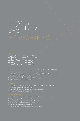### HOMES DESIGNED FOR

## RESIDENCE FEATURES

- 
- 
- 
- 
- 

- 
- 
- 
- 

- 
- **/** Elegant imported stone counter-tops
- 
- **/** Custom-finished floors and walls in wet areas
- **/** Frame-less glass shower enclosures
-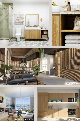







4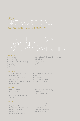# 06/

#### A PRIVATE SOCIAL CLUB FOR NATIIVO OWNERS & GUESTS, CREATIVE HQ OWNERS & TENANTS, AND MEMBERS

#### **THE WORK:**

- / Co-Working Spaces
- / Private Offices
- / Flexible Office Arrangements
- / Video Capable Conference Rooms
- / Quiet Rooms
- / Phone Booths

#### **THE SOCIAL:**

- / Specialty Restaurant & Bar
- / Dining Terrace
- / Social Area with Full-Service Cafe & Cocktail Bar
- / Drink. Dine. Work. Lounge Areas
- / Media Lounge

#### **THE SPLASH:**

- / Resort-Style Pool
- / Pool Cabanas
- / Sun Deck
- / Poolside Food and Beverage Service

#### **THE FIT:**

- / Juice Bar
- / Yoga / Pilates Studio
- / Boxing Ring with Punching Bags
- / Peloton Equipment
- / Weight Station
- / Cross-Training / Crossfit
- / Cutting Edge Technology & Connectivity
- / Office Host
- / Coffee & Juice Bar
- / Amphitheater
- / Meeting / Presentation Rooms
- / Live show & Events Lounge
- / The Porch
- / Speakeasy
- / DJ & Live Performances
- / Programed Events
- 
- / Cabana Bar
- / Pool Towel Service
- / Spa / Treatment Rooms
- / Sauna / Steam Rooms
- / Locker Rooms
- / Outdoor Terrace / Training
- / The Fit Boutique
- 
- 
- / Native Tropical Landscaping
-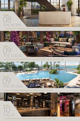### WORK  **FLOOR /** 08

±10,000 SQ FT OF CO-WORKING, CO-IDEATING, CO-MINGLING SPACE



MEMBER WELCOME CENTER - ARTISTS CONCEPT

阀

24,000 SQ FT OF INVIGORATING FOOD & BEVERAGE OFFERINGS FOCUSED ON LOCAL FARE



16,000 SQ FT POOLSIDE RETREAT ELEVATED ABOVE THE DOWNTOWN HUM



±18,000 SF HEALTH AND FITNESS CENTER, AIMED AT NOURISHING BODY & SOUL